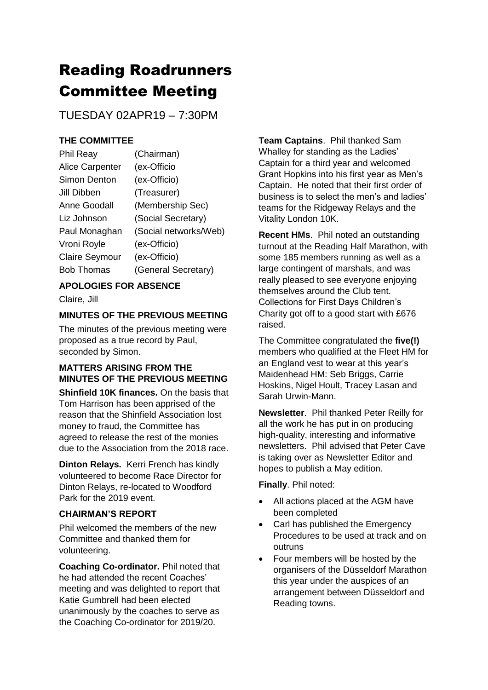# Reading Roadrunners Committee Meeting

TUESDAY 02APR19 – 7:30PM

## **THE COMMITTEE**

| Phil Reay              | (Chairman)            |
|------------------------|-----------------------|
| <b>Alice Carpenter</b> | (ex-Officio           |
| Simon Denton           | (ex-Officio)          |
| Jill Dibben            | (Treasurer)           |
| Anne Goodall           | (Membership Sec)      |
| Liz Johnson            | (Social Secretary)    |
| Paul Monaghan          | (Social networks/Web) |
| Vroni Royle            | (ex-Officio)          |
| <b>Claire Seymour</b>  | (ex-Officio)          |
| <b>Bob Thomas</b>      | (General Secretary)   |
|                        |                       |

# **APOLOGIES FOR ABSENCE**

Claire, Jill

## **MINUTES OF THE PREVIOUS MEETING**

The minutes of the previous meeting were proposed as a true record by Paul, seconded by Simon.

## **MATTERS ARISING FROM THE MINUTES OF THE PREVIOUS MEETING**

**Shinfield 10K finances.** On the basis that Tom Harrison has been apprised of the reason that the Shinfield Association lost money to fraud, the Committee has agreed to release the rest of the monies due to the Association from the 2018 race.

**Dinton Relays.** Kerri French has kindly volunteered to become Race Director for Dinton Relays, re-located to Woodford Park for the 2019 event.

## **CHAIRMAN'S REPORT**

Phil welcomed the members of the new Committee and thanked them for volunteering.

**Coaching Co-ordinator.** Phil noted that he had attended the recent Coaches' meeting and was delighted to report that Katie Gumbrell had been elected unanimously by the coaches to serve as the Coaching Co-ordinator for 2019/20.

**Team Captains**. Phil thanked Sam Whalley for standing as the Ladies' Captain for a third year and welcomed Grant Hopkins into his first year as Men's Captain. He noted that their first order of business is to select the men's and ladies' teams for the Ridgeway Relays and the Vitality London 10K.

**Recent HMs**. Phil noted an outstanding turnout at the Reading Half Marathon, with some 185 members running as well as a large contingent of marshals, and was really pleased to see everyone enjoying themselves around the Club tent. Collections for First Days Children's Charity got off to a good start with £676 raised.

The Committee congratulated the **five(!)** members who qualified at the Fleet HM for an England vest to wear at this year's Maidenhead HM: Seb Briggs, Carrie Hoskins, Nigel Hoult, Tracey Lasan and Sarah Urwin-Mann.

**Newsletter**. Phil thanked Peter Reilly for all the work he has put in on producing high-quality, interesting and informative newsletters. Phil advised that Peter Cave is taking over as Newsletter Editor and hopes to publish a May edition.

**Finally**. Phil noted:

- All actions placed at the AGM have been completed
- Carl has published the Emergency Procedures to be used at track and on outruns
- Four members will be hosted by the organisers of the Düsseldorf Marathon this year under the auspices of an arrangement between Düsseldorf and Reading towns.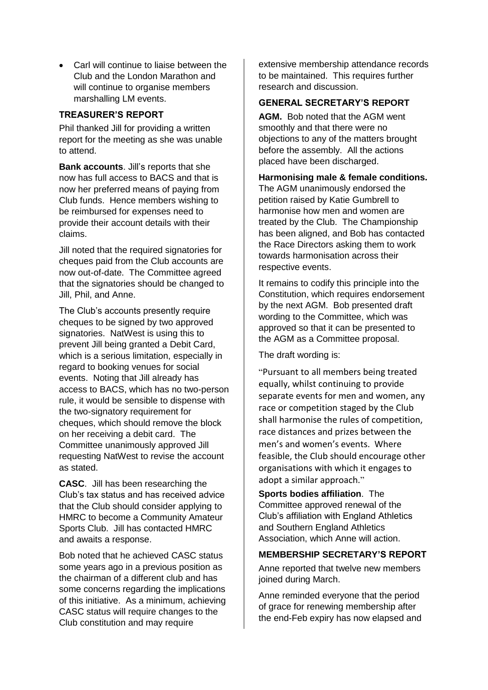• Carl will continue to liaise between the Club and the London Marathon and will continue to organise members marshalling LM events.

## **TREASURER'S REPORT**

Phil thanked Jill for providing a written report for the meeting as she was unable to attend.

**Bank accounts**. Jill's reports that she now has full access to BACS and that is now her preferred means of paying from Club funds. Hence members wishing to be reimbursed for expenses need to provide their account details with their claims.

Jill noted that the required signatories for cheques paid from the Club accounts are now out-of-date. The Committee agreed that the signatories should be changed to Jill, Phil, and Anne.

The Club's accounts presently require cheques to be signed by two approved signatories. NatWest is using this to prevent Jill being granted a Debit Card, which is a serious limitation, especially in regard to booking venues for social events. Noting that Jill already has access to BACS, which has no two-person rule, it would be sensible to dispense with the two-signatory requirement for cheques, which should remove the block on her receiving a debit card. The Committee unanimously approved Jill requesting NatWest to revise the account as stated.

**CASC**. Jill has been researching the Club's tax status and has received advice that the Club should consider applying to HMRC to become a Community Amateur Sports Club. Jill has contacted HMRC and awaits a response.

Bob noted that he achieved CASC status some years ago in a previous position as the chairman of a different club and has some concerns regarding the implications of this initiative. As a minimum, achieving CASC status will require changes to the Club constitution and may require

extensive membership attendance records to be maintained. This requires further research and discussion.

## **GENERAL SECRETARY'S REPORT**

**AGM.** Bob noted that the AGM went smoothly and that there were no objections to any of the matters brought before the assembly. All the actions placed have been discharged.

#### **Harmonising male & female conditions.**

The AGM unanimously endorsed the petition raised by Katie Gumbrell to harmonise how men and women are treated by the Club. The Championship has been aligned, and Bob has contacted the Race Directors asking them to work towards harmonisation across their respective events.

It remains to codify this principle into the Constitution, which requires endorsement by the next AGM. Bob presented draft wording to the Committee, which was approved so that it can be presented to the AGM as a Committee proposal.

The draft wording is:

"Pursuant to all members being treated equally, whilst continuing to provide separate events for men and women, any race or competition staged by the Club shall harmonise the rules of competition, race distances and prizes between the men's and women's events. Where feasible, the Club should encourage other organisations with which it engages to adopt a similar approach."

**Sports bodies affiliation**. The Committee approved renewal of the Club's affiliation with England Athletics and Southern England Athletics Association, which Anne will action.

#### **MEMBERSHIP SECRETARY'S REPORT**

Anne reported that twelve new members joined during March.

Anne reminded everyone that the period of grace for renewing membership after the end-Feb expiry has now elapsed and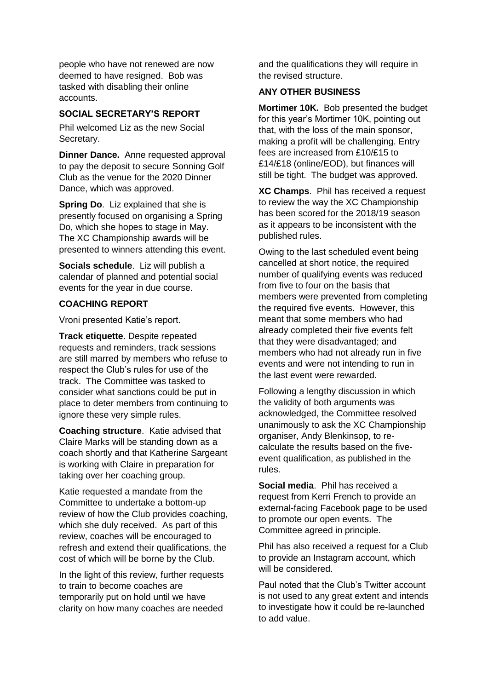people who have not renewed are now deemed to have resigned. Bob was tasked with disabling their online accounts.

## **SOCIAL SECRETARY'S REPORT**

Phil welcomed Liz as the new Social Secretary.

**Dinner Dance.** Anne requested approval to pay the deposit to secure Sonning Golf Club as the venue for the 2020 Dinner Dance, which was approved.

**Spring Do**. Liz explained that she is presently focused on organising a Spring Do, which she hopes to stage in May. The XC Championship awards will be presented to winners attending this event.

**Socials schedule**. Liz will publish a calendar of planned and potential social events for the year in due course.

#### **COACHING REPORT**

Vroni presented Katie's report.

**Track etiquette**. Despite repeated requests and reminders, track sessions are still marred by members who refuse to respect the Club's rules for use of the track. The Committee was tasked to consider what sanctions could be put in place to deter members from continuing to ignore these very simple rules.

**Coaching structure**. Katie advised that Claire Marks will be standing down as a coach shortly and that Katherine Sargeant is working with Claire in preparation for taking over her coaching group.

Katie requested a mandate from the Committee to undertake a bottom-up review of how the Club provides coaching, which she duly received. As part of this review, coaches will be encouraged to refresh and extend their qualifications, the cost of which will be borne by the Club.

In the light of this review, further requests to train to become coaches are temporarily put on hold until we have clarity on how many coaches are needed

and the qualifications they will require in the revised structure.

#### **ANY OTHER BUSINESS**

**Mortimer 10K.** Bob presented the budget for this year's Mortimer 10K, pointing out that, with the loss of the main sponsor, making a profit will be challenging. Entry fees are increased from £10/£15 to £14/£18 (online/EOD), but finances will still be tight. The budget was approved.

**XC Champs**. Phil has received a request to review the way the XC Championship has been scored for the 2018/19 season as it appears to be inconsistent with the published rules.

Owing to the last scheduled event being cancelled at short notice, the required number of qualifying events was reduced from five to four on the basis that members were prevented from completing the required five events. However, this meant that some members who had already completed their five events felt that they were disadvantaged; and members who had not already run in five events and were not intending to run in the last event were rewarded.

Following a lengthy discussion in which the validity of both arguments was acknowledged, the Committee resolved unanimously to ask the XC Championship organiser, Andy Blenkinsop, to recalculate the results based on the fiveevent qualification, as published in the rules.

**Social media**. Phil has received a request from Kerri French to provide an external-facing Facebook page to be used to promote our open events. The Committee agreed in principle.

Phil has also received a request for a Club to provide an Instagram account, which will be considered.

Paul noted that the Club's Twitter account is not used to any great extent and intends to investigate how it could be re-launched to add value.